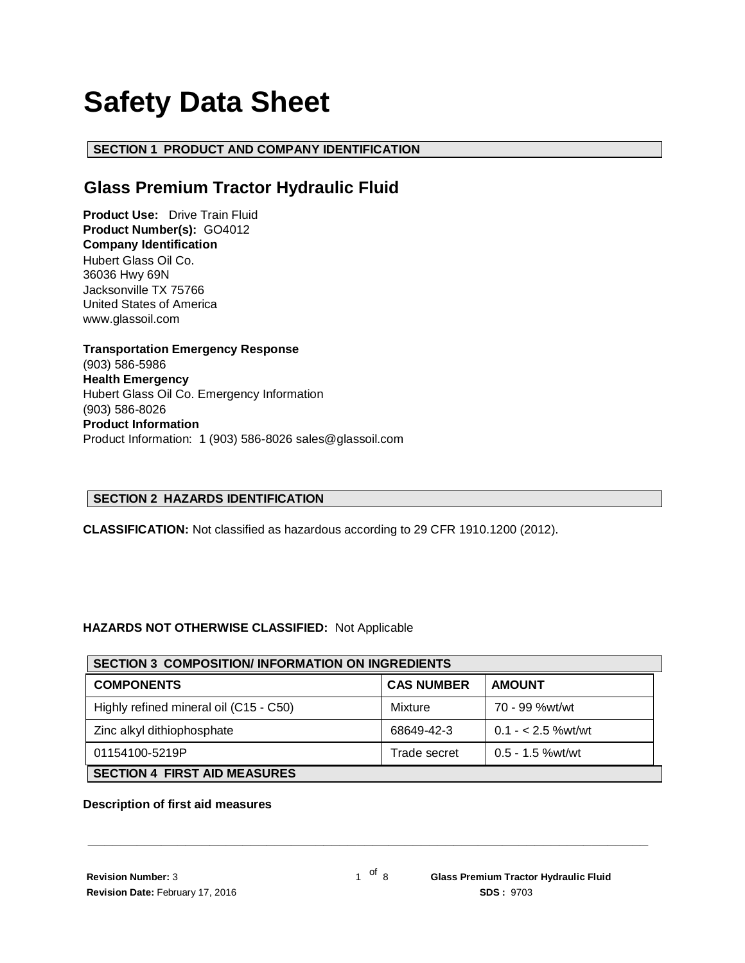# **Safety Data Sheet**

# **SECTION 1 PRODUCT AND COMPANY IDENTIFICATION**

# **Glass Premium Tractor Hydraulic Fluid**

**Product Use:** Drive Train Fluid **Product Number(s):** GO4012 **Company Identification** Hubert Glass Oil Co. 36036 Hwy 69N Jacksonville TX 75766 United States of America www.glassoil.com

**Transportation Emergency Response** (903) 586-5986 **Health Emergency** Hubert Glass Oil Co. Emergency Information (903) 586-8026 **Product Information**  Product Information: 1 (903) 586-8026 sales@glassoil.com

# **SECTION 2 HAZARDS IDENTIFICATION**

**CLASSIFICATION:** Not classified as hazardous according to 29 CFR 1910.1200 (2012).

# **HAZARDS NOT OTHERWISE CLASSIFIED:** Not Applicable

| <b>SECTION 3 COMPOSITION/INFORMATION ON INGREDIENTS</b> |                   |                    |  |  |
|---------------------------------------------------------|-------------------|--------------------|--|--|
| <b>COMPONENTS</b>                                       | <b>CAS NUMBER</b> | <b>AMOUNT</b>      |  |  |
| Highly refined mineral oil (C15 - C50)                  | Mixture           | 70 - 99 %wt/wt     |  |  |
| Zinc alkyl dithiophosphate                              | 68649-42-3        | $0.1 - 2.5$ %wt/wt |  |  |
| 01154100-5219P                                          | Trade secret      | $0.5 - 1.5$ %wt/wt |  |  |
| <b>SECTION 4 FIRST AID MEASURES</b>                     |                   |                    |  |  |

#### **Description of first aid measures**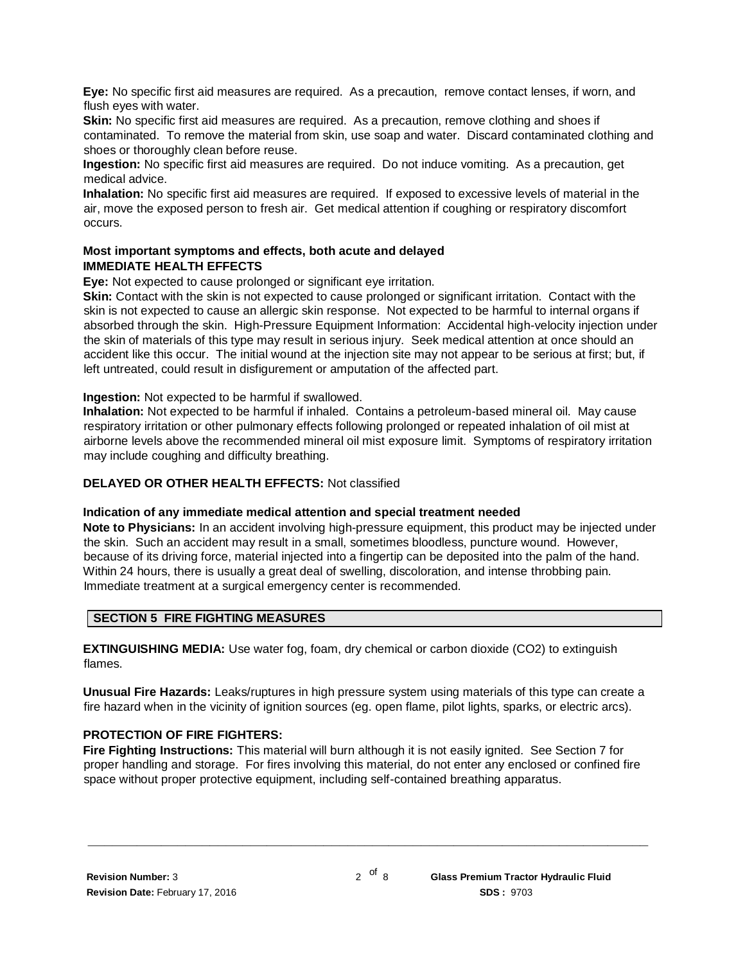**Eye:** No specific first aid measures are required. As a precaution, remove contact lenses, if worn, and flush eyes with water.

**Skin:** No specific first aid measures are required. As a precaution, remove clothing and shoes if contaminated. To remove the material from skin, use soap and water. Discard contaminated clothing and shoes or thoroughly clean before reuse.

**Ingestion:** No specific first aid measures are required. Do not induce vomiting. As a precaution, get medical advice.

**Inhalation:** No specific first aid measures are required. If exposed to excessive levels of material in the air, move the exposed person to fresh air. Get medical attention if coughing or respiratory discomfort occurs.

# **Most important symptoms and effects, both acute and delayed IMMEDIATE HEALTH EFFECTS**

**Eye:** Not expected to cause prolonged or significant eye irritation.

**Skin:** Contact with the skin is not expected to cause prolonged or significant irritation. Contact with the skin is not expected to cause an allergic skin response. Not expected to be harmful to internal organs if absorbed through the skin. High-Pressure Equipment Information: Accidental high-velocity injection under the skin of materials of this type may result in serious injury. Seek medical attention at once should an accident like this occur. The initial wound at the injection site may not appear to be serious at first; but, if left untreated, could result in disfigurement or amputation of the affected part.

**Ingestion:** Not expected to be harmful if swallowed.

**Inhalation:** Not expected to be harmful if inhaled. Contains a petroleum-based mineral oil. May cause respiratory irritation or other pulmonary effects following prolonged or repeated inhalation of oil mist at airborne levels above the recommended mineral oil mist exposure limit. Symptoms of respiratory irritation may include coughing and difficulty breathing.

### **DELAYED OR OTHER HEALTH EFFECTS:** Not classified

#### **Indication of any immediate medical attention and special treatment needed**

**Note to Physicians:** In an accident involving high-pressure equipment, this product may be injected under the skin. Such an accident may result in a small, sometimes bloodless, puncture wound. However, because of its driving force, material injected into a fingertip can be deposited into the palm of the hand. Within 24 hours, there is usually a great deal of swelling, discoloration, and intense throbbing pain. Immediate treatment at a surgical emergency center is recommended.

# **SECTION 5 FIRE FIGHTING MEASURES**

**EXTINGUISHING MEDIA:** Use water fog, foam, dry chemical or carbon dioxide (CO2) to extinguish flames.

**Unusual Fire Hazards:** Leaks/ruptures in high pressure system using materials of this type can create a fire hazard when in the vicinity of ignition sources (eg. open flame, pilot lights, sparks, or electric arcs).

# **PROTECTION OF FIRE FIGHTERS:**

**Fire Fighting Instructions:** This material will burn although it is not easily ignited. See Section 7 for proper handling and storage. For fires involving this material, do not enter any enclosed or confined fire space without proper protective equipment, including self-contained breathing apparatus.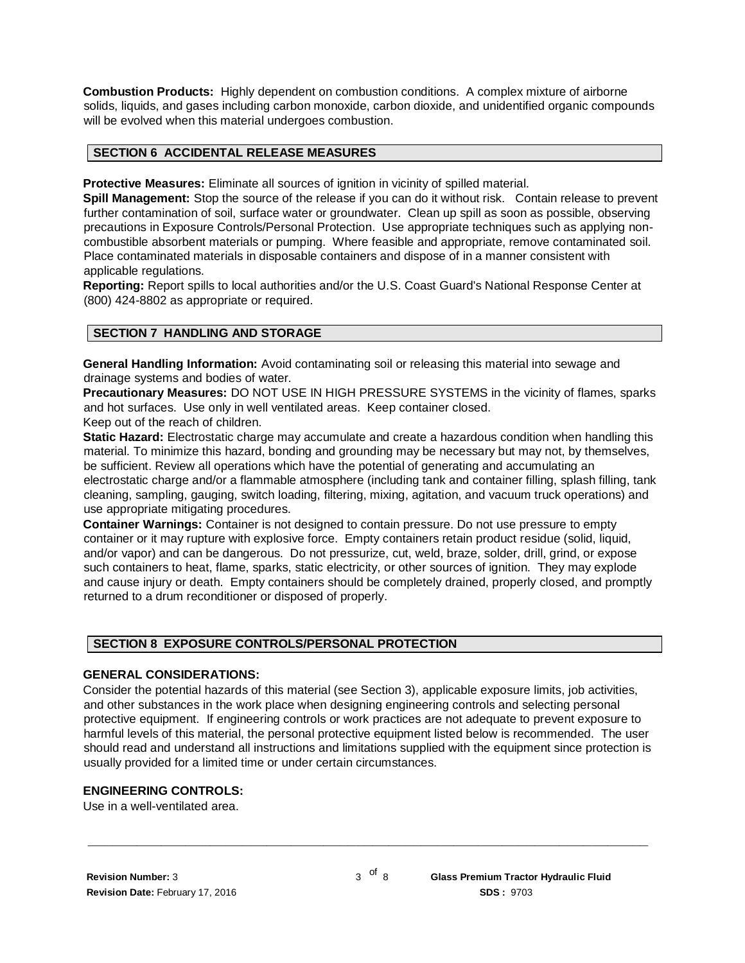**Combustion Products:** Highly dependent on combustion conditions. A complex mixture of airborne solids, liquids, and gases including carbon monoxide, carbon dioxide, and unidentified organic compounds will be evolved when this material undergoes combustion.

#### **SECTION 6 ACCIDENTAL RELEASE MEASURES**

**Protective Measures:** Eliminate all sources of ignition in vicinity of spilled material.

**Spill Management:** Stop the source of the release if you can do it without risk. Contain release to prevent further contamination of soil, surface water or groundwater. Clean up spill as soon as possible, observing precautions in Exposure Controls/Personal Protection. Use appropriate techniques such as applying noncombustible absorbent materials or pumping. Where feasible and appropriate, remove contaminated soil. Place contaminated materials in disposable containers and dispose of in a manner consistent with applicable regulations.

**Reporting:** Report spills to local authorities and/or the U.S. Coast Guard's National Response Center at (800) 424-8802 as appropriate or required.

#### **SECTION 7 HANDLING AND STORAGE**

**General Handling Information:** Avoid contaminating soil or releasing this material into sewage and drainage systems and bodies of water.

**Precautionary Measures:** DO NOT USE IN HIGH PRESSURE SYSTEMS in the vicinity of flames, sparks and hot surfaces. Use only in well ventilated areas. Keep container closed. Keep out of the reach of children.

**Static Hazard:** Electrostatic charge may accumulate and create a hazardous condition when handling this material. To minimize this hazard, bonding and grounding may be necessary but may not, by themselves, be sufficient. Review all operations which have the potential of generating and accumulating an electrostatic charge and/or a flammable atmosphere (including tank and container filling, splash filling, tank cleaning, sampling, gauging, switch loading, filtering, mixing, agitation, and vacuum truck operations) and use appropriate mitigating procedures.

**Container Warnings:** Container is not designed to contain pressure. Do not use pressure to empty container or it may rupture with explosive force. Empty containers retain product residue (solid, liquid, and/or vapor) and can be dangerous. Do not pressurize, cut, weld, braze, solder, drill, grind, or expose such containers to heat, flame, sparks, static electricity, or other sources of ignition. They may explode and cause injury or death. Empty containers should be completely drained, properly closed, and promptly returned to a drum reconditioner or disposed of properly.

#### **SECTION 8 EXPOSURE CONTROLS/PERSONAL PROTECTION**

#### **GENERAL CONSIDERATIONS:**

Consider the potential hazards of this material (see Section 3), applicable exposure limits, job activities, and other substances in the work place when designing engineering controls and selecting personal protective equipment. If engineering controls or work practices are not adequate to prevent exposure to harmful levels of this material, the personal protective equipment listed below is recommended. The user should read and understand all instructions and limitations supplied with the equipment since protection is usually provided for a limited time or under certain circumstances.

#### **ENGINEERING CONTROLS:**

Use in a well-ventilated area.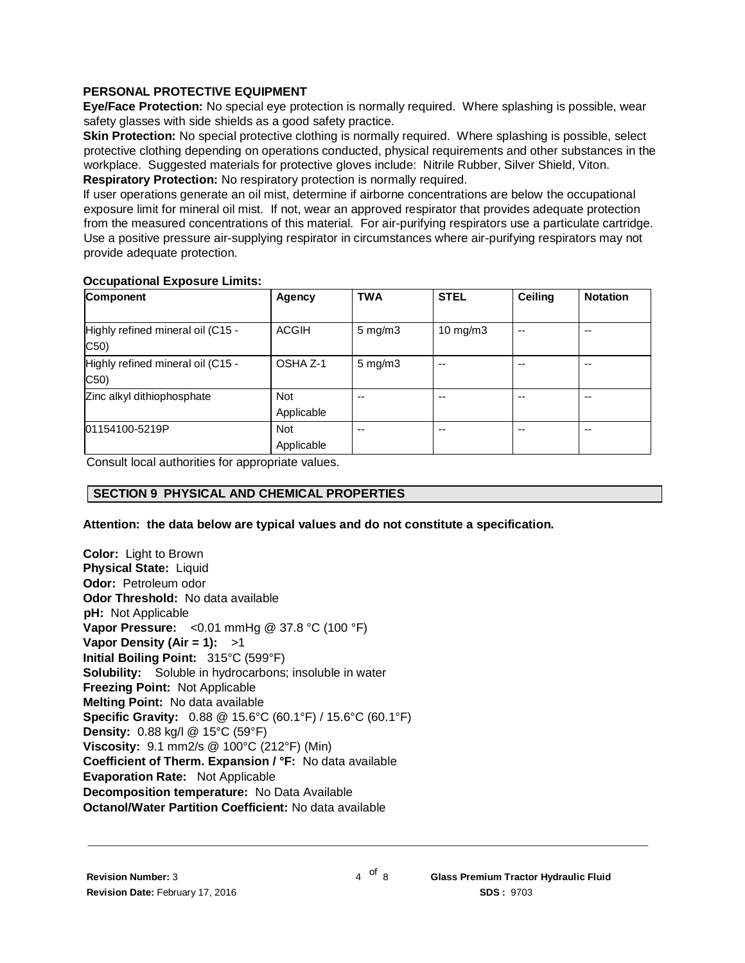### **PERSONAL PROTECTIVE EQUIPMENT**

**Eye/Face Protection:** No special eye protection is normally required. Where splashing is possible, wear safety glasses with side shields as a good safety practice.

**Skin Protection:** No special protective clothing is normally required. Where splashing is possible, select protective clothing depending on operations conducted, physical requirements and other substances in the workplace. Suggested materials for protective gloves include: Nitrile Rubber, Silver Shield, Viton. **Respiratory Protection:** No respiratory protection is normally required.

If user operations generate an oil mist, determine if airborne concentrations are below the occupational exposure limit for mineral oil mist. If not, wear an approved respirator that provides adequate protection from the measured concentrations of this material. For air-purifying respirators use a particulate cartridge. Use a positive pressure air-supplying respirator in circumstances where air-purifying respirators may not provide adequate protection.

#### **Occupational Exposure Limits:**

| Component                                 | <b>Agency</b>            | <b>TWA</b>         | <b>STEL</b>       | Ceiling | <b>Notation</b> |
|-------------------------------------------|--------------------------|--------------------|-------------------|---------|-----------------|
| Highly refined mineral oil (C15 -<br>C50) | ACGIH                    | $5 \text{ mg/m}$   | $10 \text{ mg/m}$ | --      | $-$             |
| Highly refined mineral oil (C15 -<br>C50) | OSHA Z-1                 | $5 \text{ mg/m}$ 3 |                   |         | --              |
| Zinc alkyl dithiophosphate                | <b>Not</b><br>Applicable | --                 | --                |         | --              |
| 01154100-5219P                            | Not<br>Applicable        | --                 | --                | --      | $- -$           |

Consult local authorities for appropriate values.

# **SECTION 9 PHYSICAL AND CHEMICAL PROPERTIES**

#### **Attention: the data below are typical values and do not constitute a specification.**

**Color:** Light to Brown **Physical State:** Liquid **Odor:** Petroleum odor **Odor Threshold:** No data available **pH:** Not Applicable **Vapor Pressure:** <0.01 mmHg @ 37.8 °C (100 °F) **Vapor Density (Air = 1):** >1 **Initial Boiling Point:** 315°C (599°F) **Solubility:** Soluble in hydrocarbons; insoluble in water **Freezing Point:** Not Applicable **Melting Point:** No data available **Specific Gravity:** 0.88 @ 15.6°C (60.1°F) / 15.6°C (60.1°F) **Density:** 0.88 kg/l @ 15°C (59°F) **Viscosity:** 9.1 mm2/s @ 100°C (212°F) (Min) **Coefficient of Therm. Expansion / °F:** No data available **Evaporation Rate:** Not Applicable **Decomposition temperature:** No Data Available **Octanol/Water Partition Coefficient:** No data available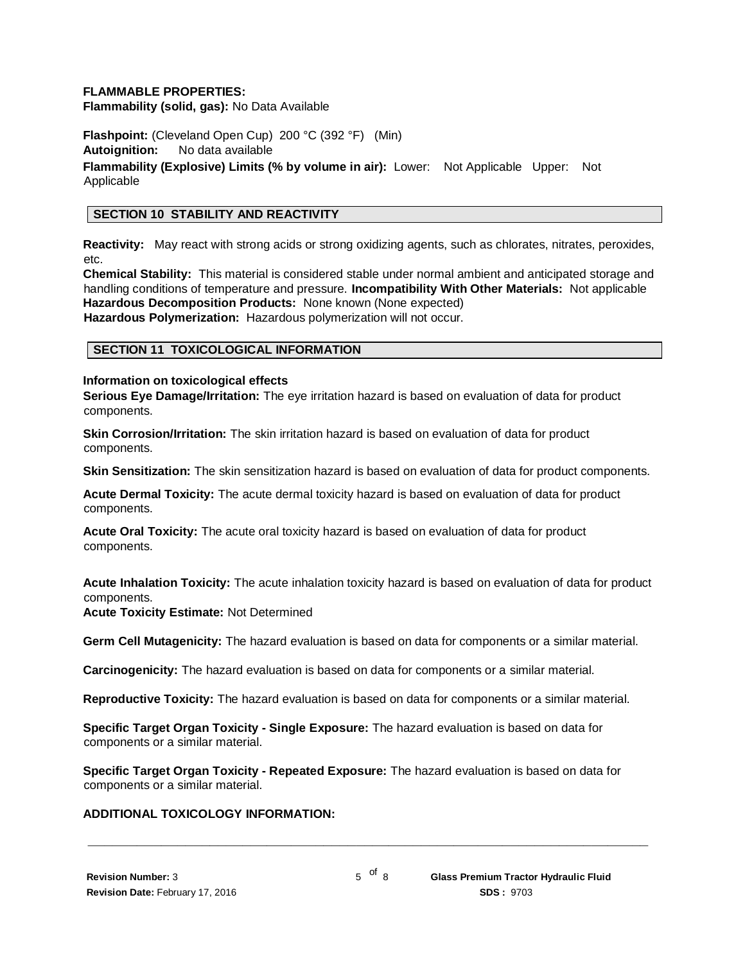#### **FLAMMABLE PROPERTIES:**

**Flammability (solid, gas):** No Data Available

**Flashpoint:** (Cleveland Open Cup) 200 °C (392 °F) (Min) **Autoignition:** No data available **Flammability (Explosive) Limits (% by volume in air):** Lower: Not Applicable Upper: Not Applicable

# **SECTION 10 STABILITY AND REACTIVITY**

**Reactivity:** May react with strong acids or strong oxidizing agents, such as chlorates, nitrates, peroxides, etc.

**Chemical Stability:** This material is considered stable under normal ambient and anticipated storage and handling conditions of temperature and pressure. **Incompatibility With Other Materials:** Not applicable **Hazardous Decomposition Products:** None known (None expected) **Hazardous Polymerization:** Hazardous polymerization will not occur.

#### **SECTION 11 TOXICOLOGICAL INFORMATION**

#### **Information on toxicological effects**

**Serious Eye Damage/Irritation:** The eye irritation hazard is based on evaluation of data for product components.

**Skin Corrosion/Irritation:** The skin irritation hazard is based on evaluation of data for product components.

**Skin Sensitization:** The skin sensitization hazard is based on evaluation of data for product components.

**Acute Dermal Toxicity:** The acute dermal toxicity hazard is based on evaluation of data for product components.

**Acute Oral Toxicity:** The acute oral toxicity hazard is based on evaluation of data for product components.

**Acute Inhalation Toxicity:** The acute inhalation toxicity hazard is based on evaluation of data for product components.

**Acute Toxicity Estimate:** Not Determined

**Germ Cell Mutagenicity:** The hazard evaluation is based on data for components or a similar material.

**Carcinogenicity:** The hazard evaluation is based on data for components or a similar material.

**Reproductive Toxicity:** The hazard evaluation is based on data for components or a similar material.

**Specific Target Organ Toxicity - Single Exposure:** The hazard evaluation is based on data for components or a similar material.

**Specific Target Organ Toxicity - Repeated Exposure:** The hazard evaluation is based on data for components or a similar material.

#### **ADDITIONAL TOXICOLOGY INFORMATION:**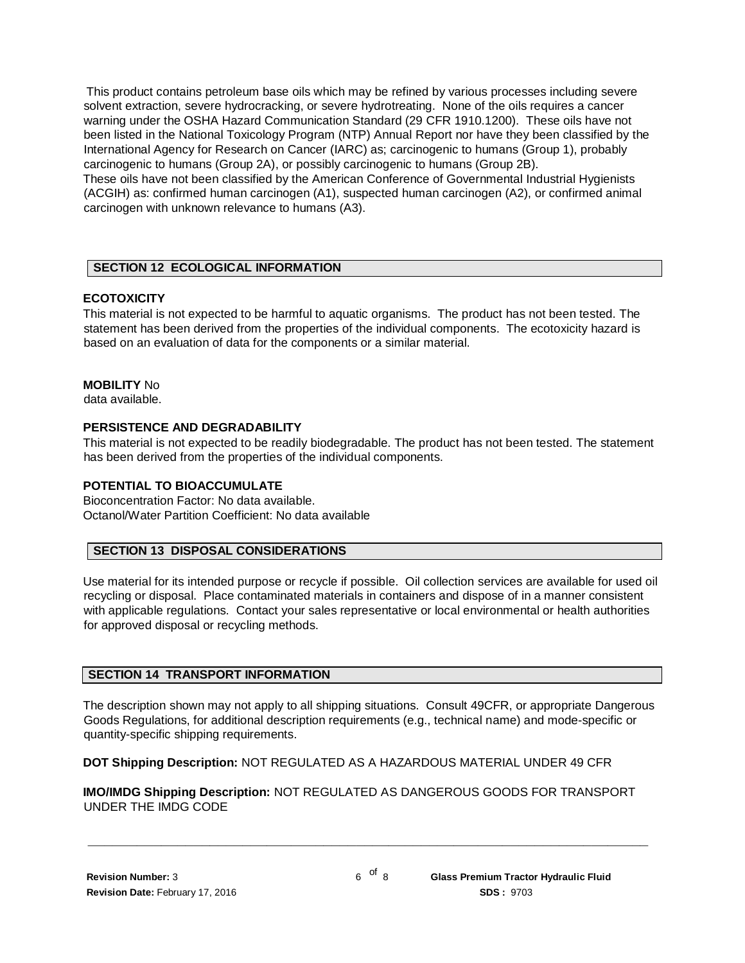This product contains petroleum base oils which may be refined by various processes including severe solvent extraction, severe hydrocracking, or severe hydrotreating. None of the oils requires a cancer warning under the OSHA Hazard Communication Standard (29 CFR 1910.1200). These oils have not been listed in the National Toxicology Program (NTP) Annual Report nor have they been classified by the International Agency for Research on Cancer (IARC) as; carcinogenic to humans (Group 1), probably carcinogenic to humans (Group 2A), or possibly carcinogenic to humans (Group 2B).

These oils have not been classified by the American Conference of Governmental Industrial Hygienists (ACGIH) as: confirmed human carcinogen (A1), suspected human carcinogen (A2), or confirmed animal carcinogen with unknown relevance to humans (A3).

# **SECTION 12 ECOLOGICAL INFORMATION**

# **ECOTOXICITY**

This material is not expected to be harmful to aquatic organisms. The product has not been tested. The statement has been derived from the properties of the individual components. The ecotoxicity hazard is based on an evaluation of data for the components or a similar material.

# **MOBILITY** No

data available.

#### **PERSISTENCE AND DEGRADABILITY**

This material is not expected to be readily biodegradable. The product has not been tested. The statement has been derived from the properties of the individual components.

#### **POTENTIAL TO BIOACCUMULATE**

Bioconcentration Factor: No data available. Octanol/Water Partition Coefficient: No data available

#### **SECTION 13 DISPOSAL CONSIDERATIONS**

Use material for its intended purpose or recycle if possible. Oil collection services are available for used oil recycling or disposal. Place contaminated materials in containers and dispose of in a manner consistent with applicable regulations. Contact your sales representative or local environmental or health authorities for approved disposal or recycling methods.

#### **SECTION 14 TRANSPORT INFORMATION**

The description shown may not apply to all shipping situations. Consult 49CFR, or appropriate Dangerous Goods Regulations, for additional description requirements (e.g., technical name) and mode-specific or quantity-specific shipping requirements.

**DOT Shipping Description:** NOT REGULATED AS A HAZARDOUS MATERIAL UNDER 49 CFR

**IMO/IMDG Shipping Description:** NOT REGULATED AS DANGEROUS GOODS FOR TRANSPORT UNDER THE IMDG CODE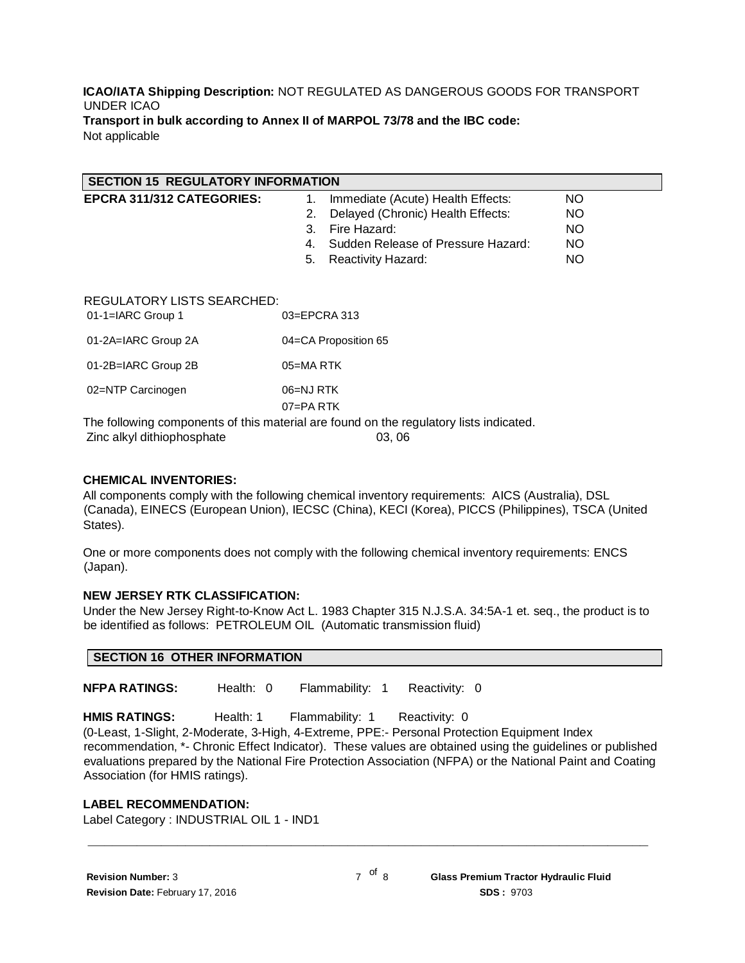#### **ICAO/IATA Shipping Description:** NOT REGULATED AS DANGEROUS GOODS FOR TRANSPORT UNDER ICAO **Transport in bulk according to Annex II of MARPOL 73/78 and the IBC code:** Not applicable

| <b>SECTION 15 REGULATORY INFORMATION</b>        |                                          |           |  |  |  |
|-------------------------------------------------|------------------------------------------|-----------|--|--|--|
| EPCRA 311/312 CATEGORIES:                       | Immediate (Acute) Health Effects:<br>1.  | NO.       |  |  |  |
|                                                 | Delayed (Chronic) Health Effects:<br>2.  | <b>NO</b> |  |  |  |
|                                                 | Fire Hazard:<br>3.                       | <b>NO</b> |  |  |  |
|                                                 | Sudden Release of Pressure Hazard:<br>4. | <b>NO</b> |  |  |  |
|                                                 | 5.<br>Reactivity Hazard:                 | <b>NO</b> |  |  |  |
|                                                 |                                          |           |  |  |  |
| REGULATORY LISTS SEARCHED:<br>01-1=IARC Group 1 | 03=EPCRA 313                             |           |  |  |  |
| 01-2A=IARC Group 2A                             | 04=CA Proposition 65                     |           |  |  |  |
| 01-2B=IARC Group 2B                             | 05=MARTK                                 |           |  |  |  |
| 02=NTP Carcinogen<br>.                          | 06=NJ RTK<br>07=PA RTK<br>.              |           |  |  |  |

The following components of this material are found on the regulatory lists indicated. Zinc alkyl dithiophosphate 03, 06

#### **CHEMICAL INVENTORIES:**

All components comply with the following chemical inventory requirements: AICS (Australia), DSL (Canada), EINECS (European Union), IECSC (China), KECI (Korea), PICCS (Philippines), TSCA (United States).

One or more components does not comply with the following chemical inventory requirements: ENCS (Japan).

#### **NEW JERSEY RTK CLASSIFICATION:**

Under the New Jersey Right-to-Know Act L. 1983 Chapter 315 N.J.S.A. 34:5A-1 et. seq., the product is to be identified as follows: PETROLEUM OIL (Automatic transmission fluid)

**NFPA RATINGS:** Health: 0 Flammability: 1 Reactivity: 0

**HMIS RATINGS:** Health: 1 Flammability: 1 Reactivity: 0

(0-Least, 1-Slight, 2-Moderate, 3-High, 4-Extreme, PPE:- Personal Protection Equipment Index recommendation, \*- Chronic Effect Indicator). These values are obtained using the guidelines or published evaluations prepared by the National Fire Protection Association (NFPA) or the National Paint and Coating Association (for HMIS ratings).

#### **LABEL RECOMMENDATION:**

Label Category : INDUSTRIAL OIL 1 - IND1